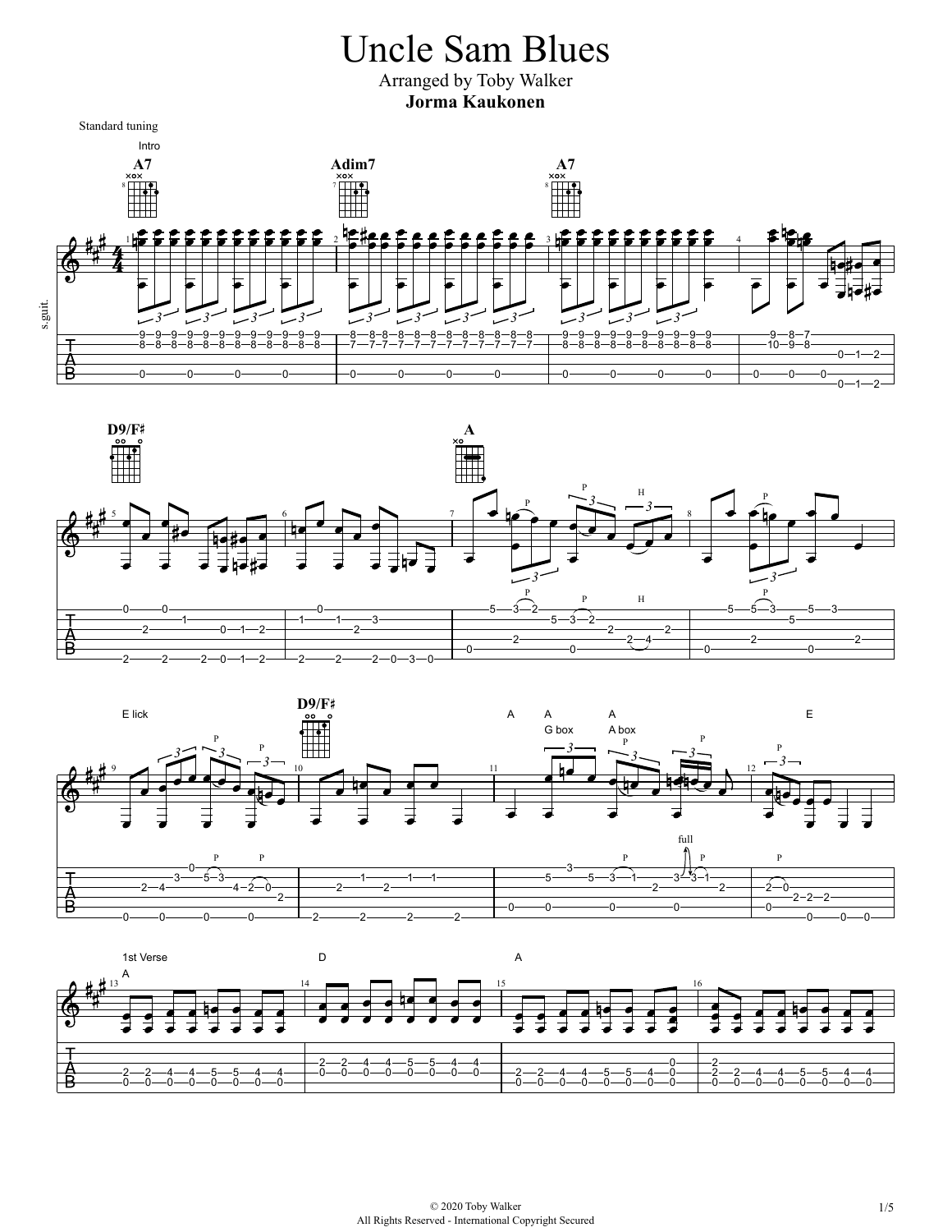## Uncle Sam Blues

Arranged by Toby Walker **Jorma Kaukonen**

Standard tuning







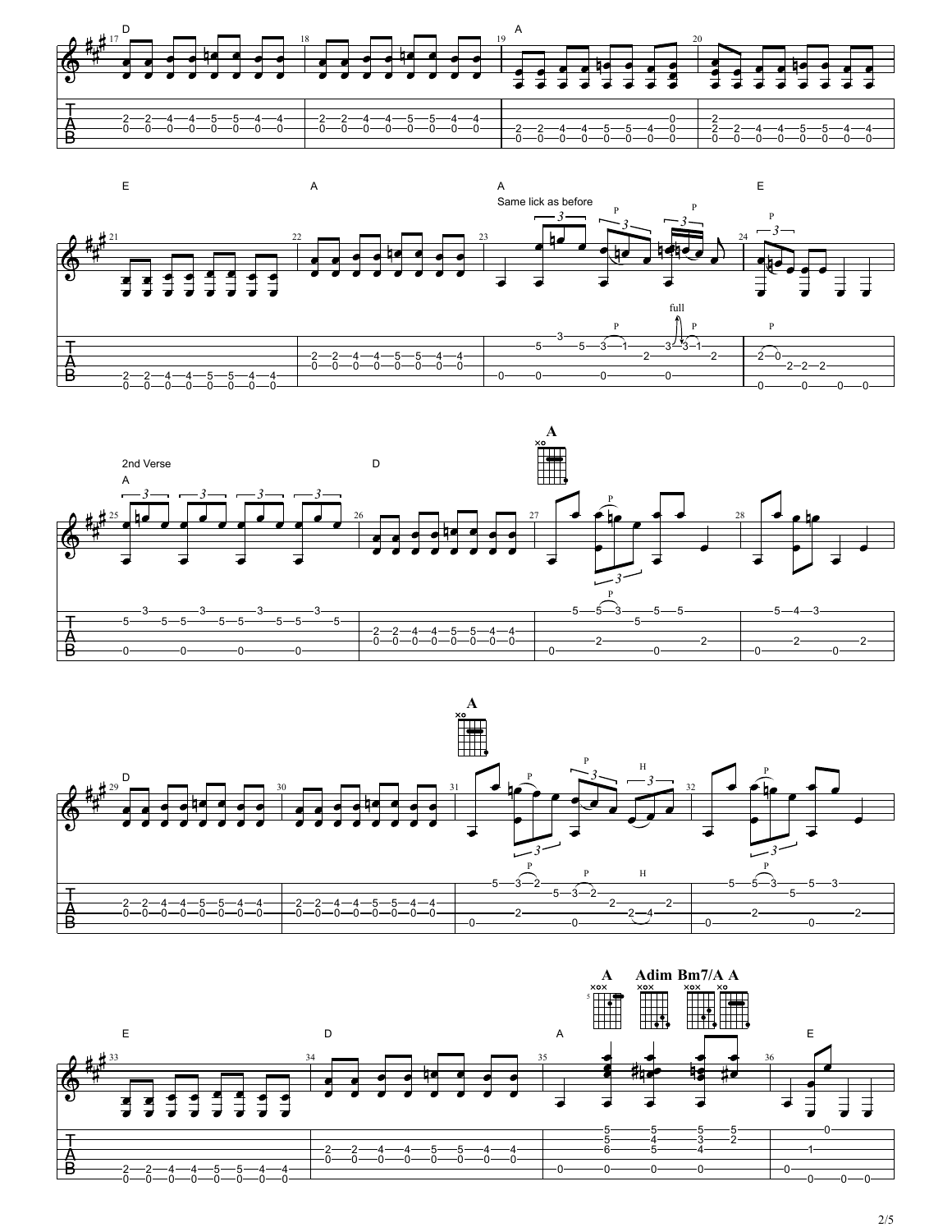







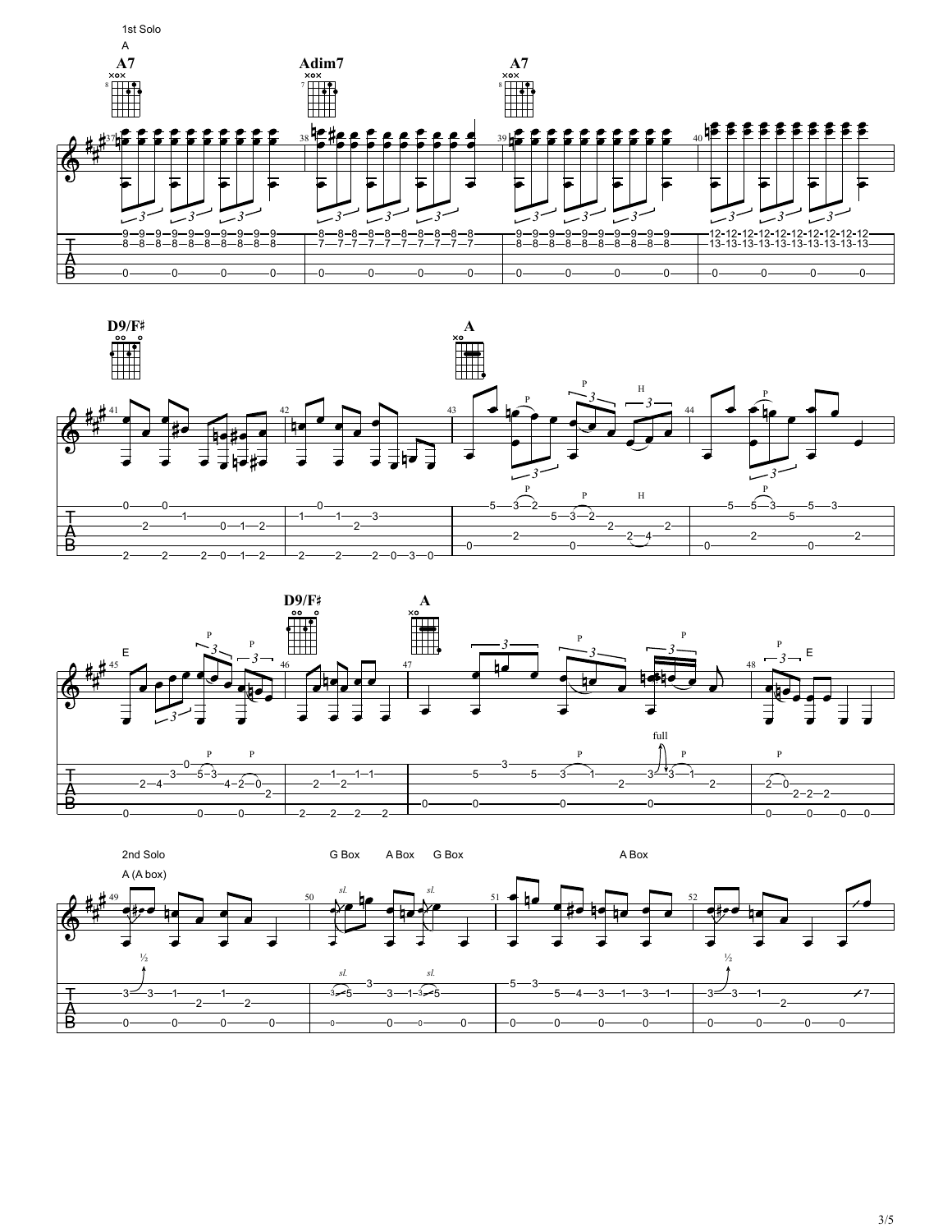





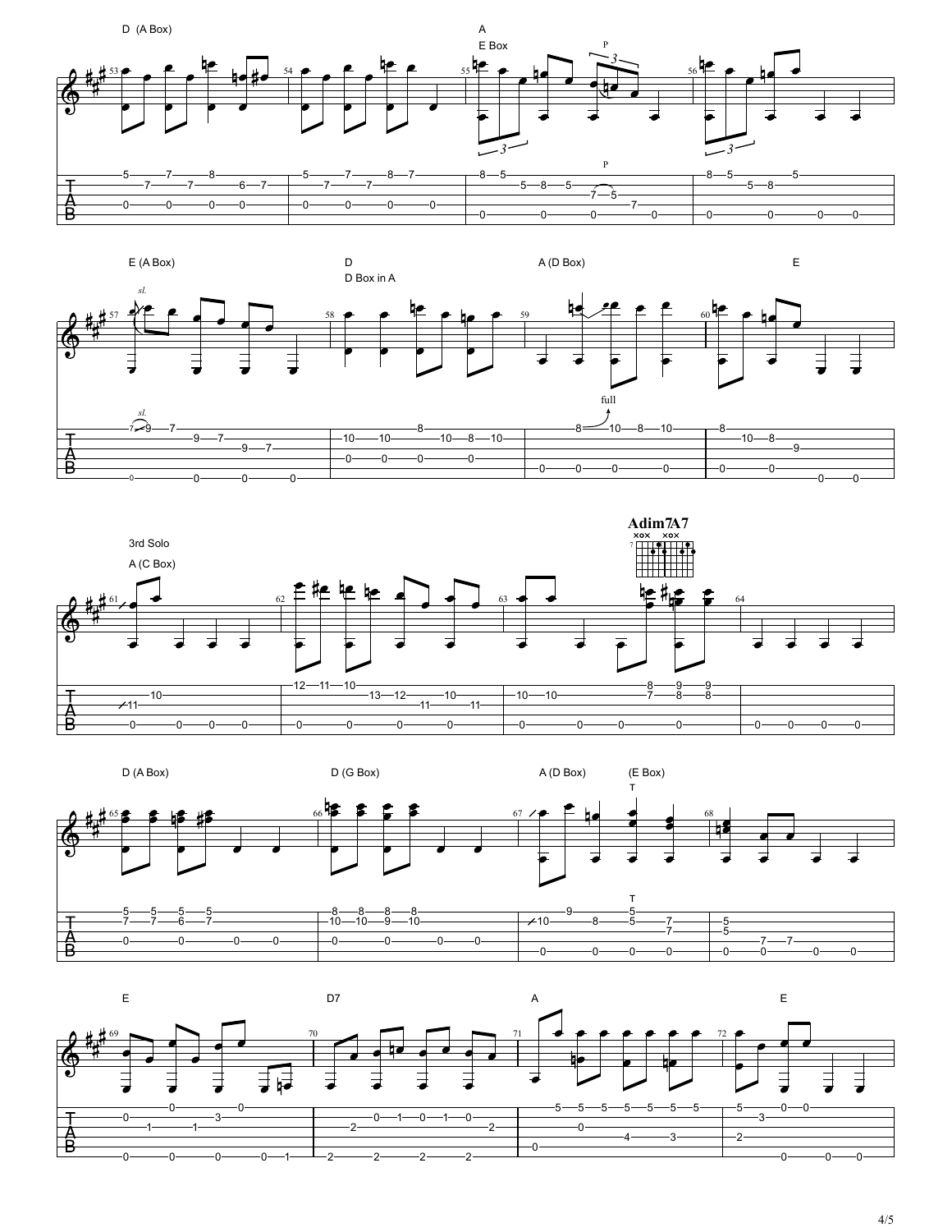